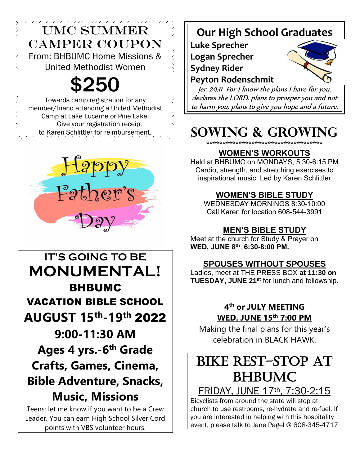# UMC SUMMER CAMPER COUPON From: BHBUMC Home Missions & United Methodist Women

\$250

Towards camp registration for any member/friend attending a United Methodist Camp at Lake Lucerne or Pine Lake. Give your registration receipt to Karen Schlittler for reimbursement.



**IT'S GOING TO BE MONUMENTAL!**  BHBUMC VACATION BIBLE SCHOOL **AUGUST 15th-19th** 2022 **9:00-11:30 AM Ages 4 yrs.-6 th Grade Crafts, Games, Cinema, Bible Adventure, Snacks, Music, Missions** Teens: let me know if you want to be a Crew

Leader. You can earn High School Silver Cord points with VBS volunteer hours.

# **Our High School Graduates**

**Luke Sprecher Logan Sprecher Sydney Rider Peyton Rodenschmit**



Jer. 29:11 For I know the plans I have for you, declares the LORD, plans to prosper you and not to harm you, plans to give you hope and a future.

# **SOWING & GROWING**

\*\*\*\*\*\*\*\*\*\*\*\*\*\*\*\*\*\*\*\*\*\*\*\*\*\*\*\*\*\*\*

## **WOMEN'S WORKOUTS**

Held at BHBUMC on MONDAYS, 5:30-6:15 PM Cardio, strength, and stretching exercises to inspirational music. Led by Karen Schlittler

## **WOMEN'S BIBLE STUDY**

WEDNESDAY MORNINGS 8:30-10:00 Call Karen for location 608-544-3991

## **MEN'S BIBLE STUDY**

Meet at the church for Study & Prayer on **WED, JUNE 8 th** , **6:30-8:00 PM.**

## **SPOUSES WITHOUT SPOUSES**

Ladies, meet at THE PRESS BOX **at 11:30 on TUESDAY, JUNE 21st** for lunch and fellowship.

## **4 th or JULY MEETING WED. JUNE 15th 7:00 PM**

Making the final plans for this year's celebration in BLACK HAWK.

# BIKE REST-STOP AT BHBUMC

FRIDAY, JUNE 17th, 7:30-2:15

Bicyclists from around the state will stop at church to use restrooms, re-hydrate and re-fuel. If you are interested in helping with this hospitality event, please talk to Jane Pagel @ 608-345-4717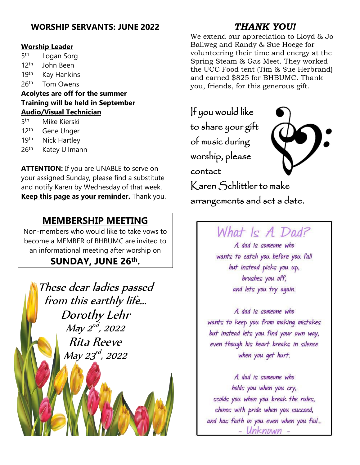## **WORSHIP SERVANTS: JUNE 2022**

#### **Worship Leader**

5<sup>th</sup> Logan Sorg  $12<sup>th</sup>$ John Been 19<sup>th</sup> Kay Hankins  $26<sup>th</sup>$ **Tom Owens Acolytes are off for the summer Training will be held in September Audio/Visual Technician**

- 5<sub>th</sub> Mike Kierski
- 12<sup>th</sup> Gene Unger
- 19th Nick Hartley

ļ

 $26<sup>th</sup>$ Katey Ullmann

**ATTENTION:** If you are UNABLE to serve on your assigned Sunday, please find a substitute and notify Karen by Wednesday of that week. **Keep this page as your reminder.** Thank you.

### **MEMBERSHIP MEETING**

Non-members who would like to take vows to become a MEMBER of BHBUMC are invited to an informational meeting after worship on

## **SUNDAY, JUNE 26th .**

These dear ladies passed from this earthly life… Dorothy Lehr May 2<sup>nd</sup>, 2022 Rita Reeve May 23<sup>rd</sup>, 2022

## *THANK YOU!*

We extend our appreciation to Lloyd & Jo Ballweg and Randy & Sue Hoege for volunteering their time and energy at the Spring Steam & Gas Meet. They worked the UCC Food tent (Tim & Sue Herbrand) and earned \$825 for BHBUMC. Thank you, friends, for this generous gift.

If you would like to share your gift of music during worship, please contact Karen Schlittler to make



arrangements and set a date.

# What  $\kappa$  A Dad?

A dad is someone who wants to catch you before you fall but instead picks you up, brushes you off, and lets you try again.

A dad is someone who wants to keep you from making mistakes but instead lets you find your own way, even though his heart breaks in silence when you get hurt.

A dad is someone who holds you when you cry, scolds you when you break the rules, shines with pride when you succeed, and has faith in you even when you fail... - Unknown -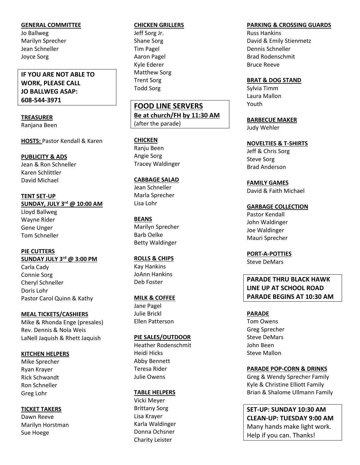#### **GENERAL COMMITTEE**

Jo Ballweg Marilyn Sprecher Jean Schneller Joyce Sorg

#### **IF YOU ARE NOT ABLE TO WORK, PLEASE CALL JO BALLWEG ASAP: 608-544-3971**

#### **TREASURER**  Ranjana Been

**HOSTS:** Pastor Kendall & Karen

#### **PUBLICITY & ADS**

Jean & Ron Schneller Karen Schlittler David Michael

**TENT SET-UP SUNDAY, JULY 3rd @ 10:00 AM** Lloyd Ballweg Wayne Rider Gene Unger Tom Schneller

**PIE CUTTERS SUNDAY JULY 3rd @ 3:00 PM** Carla Cady Connie Sorg Cheryl Schneller Doris Lohr Pastor Carol Quinn & Kathy

#### **MEAL TICKETS/CASHIERS**

Mike & Rhonda Enge (presales) Rev. Dennis & Nola Weis LaNell Jaquish & Rhett Jaquish

#### **KITCHEN HELPERS**

Mike Sprecher Ryan Krayer Rick Schwandt Ron Schneller Greg Lohr

#### **TICKET TAKERS**

Dawn Reeve Marilyn Horstman Sue Hoege

#### **CHICKEN GRILLERS**

Jeff Sorg Jr. Shane Sorg Tim Pagel Aaron Pagel Kyle Ederer Matthew Sorg Trent Sorg Todd Sorg

**FOOD LINE SERVERS Be at church/FH by 11:30 AM** (after the parade)

#### **CHICKEN**

Ranju Been Angie Sorg Tracey Waldinger

#### **CABBAGE SALAD**

Jean Schneller Marla Sprecher Lisa Lohr

#### **BEANS**

Marilyn Sprecher Barb Oelke Betty Waldinger

#### **ROLLS & CHIPS**

Kay Hankins JoAnn Hankins Deb Foster

#### **MILK & COFFEE**

Jane Pagel Julie Brickl Ellen Patterson

#### **PIE SALES/OUTDOOR**

Heather Rodenschmit Heidi Hicks Abby Bennett Teresa Rider Julie Owens

#### **TABLE HELPERS**

Vicki Meyer Brittany Sorg Lisa Krayer Karla Waldinger Donna Ochsner Charity Leister

#### **PARKING & CROSSING GUARDS**

Russ Hankins David & Emily Stienmetz Dennis Schneller Brad Rodenschmit Bruce Reeve

#### **BRAT & DOG STAND**

Sylvia Timm Laura Mallon Youth

**BARBECUE MAKER** Judy Wehler

**NOVELTIES & T-SHIRTS** Jeff & Chris Sorg

Steve Sorg Brad Anderson

**FAMILY GAMES**

David & Faith Michael

#### **GARBAGE COLLECTION**

Pastor Kendall John Waldinger Joe Waldinger Mauri Sprecher

**PORT-A-POTTIES** Steve DeMars

#### **PARADE THRU BLACK HAWK LINE UP AT SCHOOL ROAD PARADE BEGINS AT 10:30 AM**

#### **PARADE**

Tom Owens Greg Sprecher Steve DeMars John Been Steve Mallon

#### **PARADE POP-CORN & DRINKS**

Greg & Wendy Sprecher Family Kyle & Christine Elliott Family Brian & Shalome Ullmann Family

**SET-UP: SUNDAY 10:30 AM CLEAN-UP: TUESDAY 9:00 AM** Many hands make light work. Help if you can. Thanks!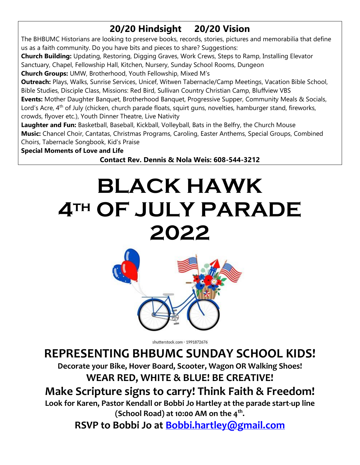# **20/20 Hindsight 20/20 Vision**

The BHBUMC Historians are looking to preserve books, records, stories, pictures and memorabilia that define us as a faith community. Do you have bits and pieces to share? Suggestions:

**Church Building:** Updating, Restoring, Digging Graves, Work Crews, Steps to Ramp, Installing Elevator Sanctuary, Chapel, Fellowship Hall, Kitchen, Nursery, Sunday School Rooms, Dungeon

**Church Groups:** UMW, Brotherhood, Youth Fellowship, Mixed M's

**Outreach:** Plays, Walks, Sunrise Services, Unicef, Witwen Tabernacle/Camp Meetings, Vacation Bible School, Bible Studies, Disciple Class, Missions: Red Bird, Sullivan Country Christian Camp, Bluffview VBS

**Events:** Mother Daughter Banquet, Brotherhood Banquet, Progressive Supper, Community Meals & Socials, Lord's Acre, 4<sup>th</sup> of July (chicken, church parade floats, squirt guns, novelties, hamburger stand, fireworks, crowds, flyover etc.), Youth Dinner Theatre, Live Nativity

**Laughter and Fun:** Basketball, Baseball, Kickball, Volleyball, Bats in the Belfry, the Church Mouse **Music:** Chancel Choir, Cantatas, Christmas Programs, Caroling, Easter Anthems, Special Groups, Combined Choirs, Tabernacle Songbook, Kid's Praise

**Special Moments of Love and Life**

**Contact Rev. Dennis & Nola Weis: 608-544-3212**

# **BLACK HAWK 4th OF JULY PARADE 2022**



shutterstock.com · 1991872676

# **REPRESENTING BHBUMC SUNDAY SCHOOL KIDS!**

**Decorate your Bike, Hover Board, Scooter, Wagon OR Walking Shoes! WEAR RED, WHITE & BLUE! BE CREATIVE!**

# **Make Scripture signs to carry! Think Faith & Freedom!**

**Look for Karen, Pastor Kendall or Bobbi Jo Hartley at the parade start-up line (School Road) at 10:00 AM on the 4th .** 

**RSVP to Bobbi Jo at [Bobbi.hartley@gmail.com](mailto:Bobbi.hartley@gmail.com)**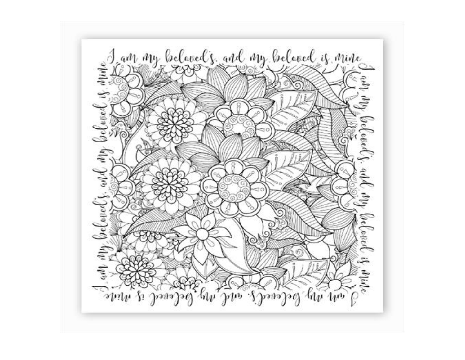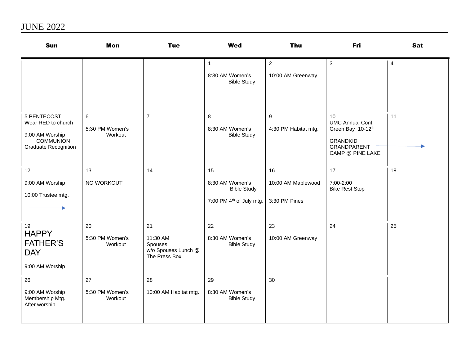# JUNE 2022

| Sun                                                                                                     | <b>Mon</b>                       | <b>Tue</b>                                                        | <b>Wed</b>                                                                          | Thu                                       | Fri                                                                                                             | <b>Sat</b>     |
|---------------------------------------------------------------------------------------------------------|----------------------------------|-------------------------------------------------------------------|-------------------------------------------------------------------------------------|-------------------------------------------|-----------------------------------------------------------------------------------------------------------------|----------------|
|                                                                                                         |                                  |                                                                   | $\mathbf{1}$<br>8:30 AM Women's<br><b>Bible Study</b>                               | $\overline{2}$<br>10:00 AM Greenway       | 3                                                                                                               | $\overline{4}$ |
| 5 PENTECOST<br>Wear RED to church<br>9:00 AM Worship<br><b>COMMUNION</b><br><b>Graduate Recognition</b> | 6<br>5:30 PM Women's<br>Workout  | $\overline{7}$                                                    | 8<br>8:30 AM Women's<br><b>Bible Study</b>                                          | 9<br>4:30 PM Habitat mtg.                 | 10<br><b>UMC Annual Conf.</b><br>Green Bay 10-12th<br><b>GRANDKID</b><br><b>GRANDPARENT</b><br>CAMP @ PINE LAKE | 11             |
| 12<br>9:00 AM Worship<br>10:00 Trustee mtg.                                                             | 13<br>NO WORKOUT                 | 14                                                                | 15<br>8:30 AM Women's<br><b>Bible Study</b><br>7:00 PM 4 <sup>th</sup> of July mtg. | 16<br>10:00 AM Maplewood<br>3:30 PM Pines | 17<br>7:00-2:00<br><b>Bike Rest Stop</b>                                                                        | 18             |
| 19<br><b>HAPPY</b><br><b>FATHER'S</b><br><b>DAY</b><br>9:00 AM Worship                                  | 20<br>5:30 PM Women's<br>Workout | 21<br>11:30 AM<br>Spouses<br>w/o Spouses Lunch @<br>The Press Box | 22<br>8:30 AM Women's<br><b>Bible Study</b>                                         | 23<br>10:00 AM Greenway                   | 24                                                                                                              | 25             |
| 26<br>9:00 AM Worship<br>Membership Mtg.<br>After worship                                               | 27<br>5:30 PM Women's<br>Workout | 28<br>10:00 AM Habitat mtg.                                       | 29<br>8:30 AM Women's<br><b>Bible Study</b>                                         | 30                                        |                                                                                                                 |                |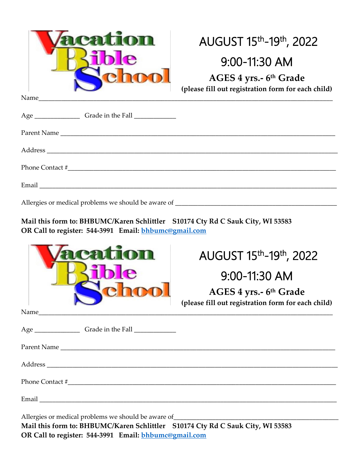| Lion<br>Name                                        | AUGUST 15th-19th, 2022<br>9:00-11:30 AM<br>AGES 4 yrs.- 6th Grade<br>(please fill out registration form for each child) |
|-----------------------------------------------------|-------------------------------------------------------------------------------------------------------------------------|
|                                                     |                                                                                                                         |
|                                                     |                                                                                                                         |
|                                                     |                                                                                                                         |
| Phone Contact #                                     |                                                                                                                         |
|                                                     |                                                                                                                         |
| Allergies or medical problems we should be aware of |                                                                                                                         |

**Mail this form to: BHBUMC/Karen Schlittler S10174 Cty Rd C Sauk City, WI 53583 OR Call to register: 544-3991 Email: [bhbumc@gmail.com](mailto:bhbumc@gmail.com)**

|                                                                                                                                                                     | AUGUST 15th-19th, 2022<br>$9:00-11:30$ AM                                    |  |  |  |
|---------------------------------------------------------------------------------------------------------------------------------------------------------------------|------------------------------------------------------------------------------|--|--|--|
|                                                                                                                                                                     | AGES 4 yrs.- 6th Grade<br>(please fill out registration form for each child) |  |  |  |
| Name                                                                                                                                                                |                                                                              |  |  |  |
|                                                                                                                                                                     |                                                                              |  |  |  |
|                                                                                                                                                                     |                                                                              |  |  |  |
|                                                                                                                                                                     |                                                                              |  |  |  |
|                                                                                                                                                                     |                                                                              |  |  |  |
|                                                                                                                                                                     |                                                                              |  |  |  |
| Allergies or medical problems we should be aware of _____________________________<br>Mail this form to: BHBUMC/Karen Schlittler S10174 Cty Rd C Sauk City, WI 53583 |                                                                              |  |  |  |

**OR Call to register: 544-3991 Email: [bhbumc@gmail.com](mailto:bhbumc@gmail.com)**